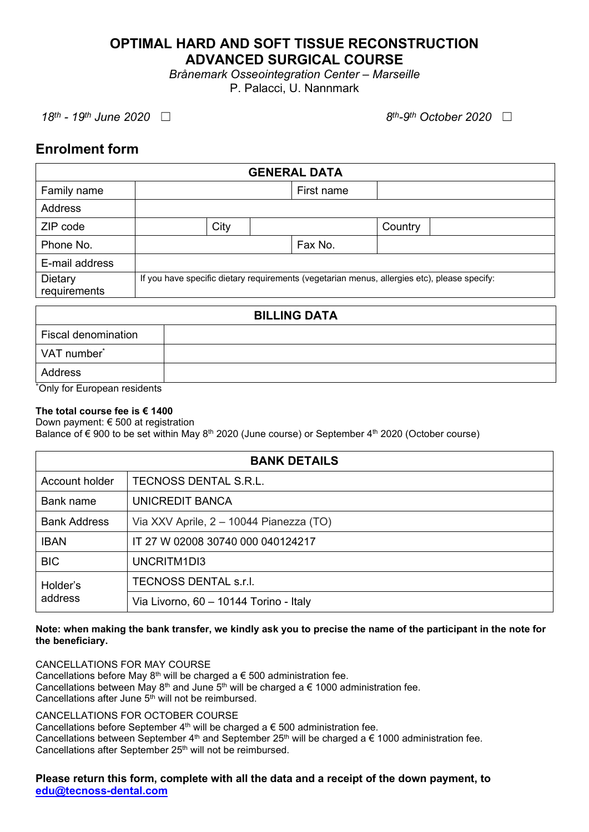# **OPTIMAL HARD AND SOFT TISSUE RECONSTRUCTION ADVANCED SURGICAL COURSE**

*Brånemark Osseointegration Center – Marseille*  P. Palacci, U. Nannmark

*18<sup>th</sup>* - 19<sup>th</sup> June 2020 □

*<i>th*-9<sup>*th*</sup> October 2020 □

# **Enrolment form**

| <b>GENERAL DATA</b>     |                                                                                              |      |            |         |  |
|-------------------------|----------------------------------------------------------------------------------------------|------|------------|---------|--|
| Family name             |                                                                                              |      | First name |         |  |
| Address                 |                                                                                              |      |            |         |  |
| ZIP code                |                                                                                              | City |            | Country |  |
| Phone No.               |                                                                                              |      | Fax No.    |         |  |
| E-mail address          |                                                                                              |      |            |         |  |
| Dietary<br>requirements | If you have specific dietary requirements (vegetarian menus, allergies etc), please specify: |      |            |         |  |
| <b>BILLING DATA</b>     |                                                                                              |      |            |         |  |

| Fiscal denomination             |  |  |
|---------------------------------|--|--|
| VAT number <sup>*</sup>         |  |  |
| Address                         |  |  |
| $*$ Only for European residents |  |  |

\*Only for European residents

# **The total course fee is € 1400**

Down payment: € 500 at registration

Balance of  $\epsilon$  900 to be set within May 8<sup>th</sup> 2020 (June course) or September 4<sup>th</sup> 2020 (October course)

| <b>BANK DETAILS</b> |                                         |  |  |  |
|---------------------|-----------------------------------------|--|--|--|
| Account holder      | TECNOSS DENTAL S.R.L.                   |  |  |  |
| Bank name           | UNICREDIT BANCA                         |  |  |  |
| <b>Bank Address</b> | Via XXV Aprile, 2 - 10044 Pianezza (TO) |  |  |  |
| <b>IBAN</b>         | IT 27 W 02008 30740 000 040124217       |  |  |  |
| <b>BIC</b>          | UNCRITM1DI3                             |  |  |  |
| Holder's<br>address | TECNOSS DENTAL s.r.l.                   |  |  |  |
|                     | Via Livorno, 60 - 10144 Torino - Italy  |  |  |  |

## **Note: when making the bank transfer, we kindly ask you to precise the name of the participant in the note for the beneficiary.**

CANCELLATIONS FOR MAY COURSE

Cancellations before May  $8<sup>th</sup>$  will be charged a  $\epsilon$  500 administration fee. Cancellations between May 8<sup>th</sup> and June 5<sup>th</sup> will be charged a  $\epsilon$  1000 administration fee. Cancellations after June  $5<sup>th</sup>$  will not be reimbursed.

# CANCELLATIONS FOR OCTOBER COURSE

Cancellations before September  $4<sup>th</sup>$  will be charged a  $\epsilon$  500 administration fee. Cancellations between September 4<sup>th</sup> and September 25<sup>th</sup> will be charged a  $\epsilon$  1000 administration fee. Cancellations after September 25<sup>th</sup> will not be reimbursed.

# **Please return this form, complete with all the data and a receipt of the down payment, to [edu@tecnoss-dental.com](mailto:edu@tecnoss-dental.com)**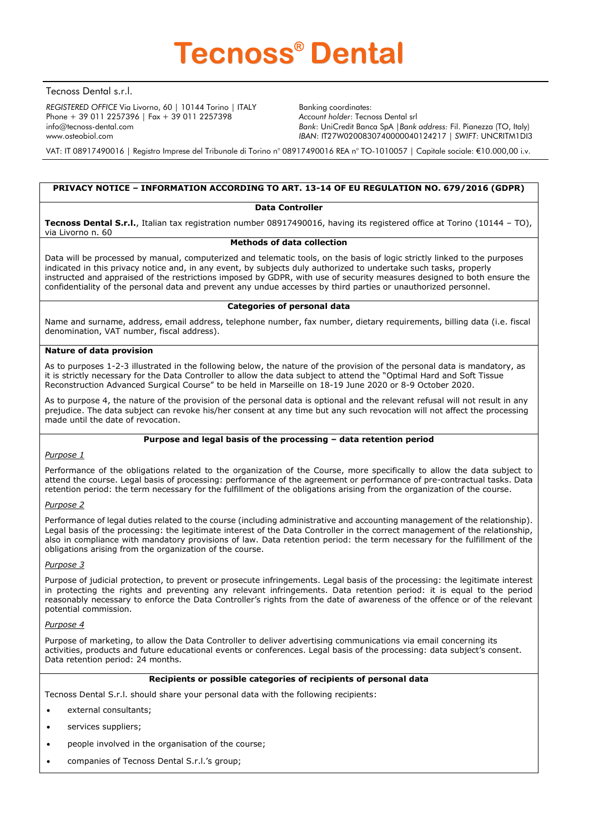

Tecnoss Dental s.r.l.

*REGISTERED OFFICE* Via Livorno, 60 | 10144 Torino | ITALY Phone + 39 011 2257396 | Fax + 39 011 2257398 info@tecnoss-dental.com www.osteobiol.com

Banking coordinates: *Account holder*: Tecnoss Dental srl *Bank*: UniCredit Banca SpA |*Bank address:* Fil. Pianezza (TO, Italy) *IBAN*: IT27W0200830740000040124217 | *SWIFT*: UNCRITM1DI3

VAT: IT 08917490016 | Registro Imprese del Tribunale di Torino n° 08917490016 REA n° TO-1010057 | Capitale sociale: €10.000,00 i.v.

## **PRIVACY NOTICE – INFORMATION ACCORDING TO ART. 13-14 OF EU REGULATION NO. 679/2016 (GDPR)**

#### **Data Controller**

**Tecnoss Dental S.r.l.**, Italian tax registration number 08917490016, having its registered office at Torino (10144 – TO), via Livorno n. 60

### **Methods of data collection**

Data will be processed by manual, computerized and telematic tools, on the basis of logic strictly linked to the purposes indicated in this privacy notice and, in any event, by subjects duly authorized to undertake such tasks, properly instructed and appraised of the restrictions imposed by GDPR, with use of security measures designed to both ensure the confidentiality of the personal data and prevent any undue accesses by third parties or unauthorized personnel.

#### **Categories of personal data**

Name and surname, address, email address, telephone number, fax number, dietary requirements, billing data (i.e. fiscal denomination, VAT number, fiscal address).

#### **Nature of data provision**

As to purposes 1-2-3 illustrated in the following below, the nature of the provision of the personal data is mandatory, as it is strictly necessary for the Data Controller to allow the data subject to attend the "Optimal Hard and Soft Tissue Reconstruction Advanced Surgical Course" to be held in Marseille on 18-19 June 2020 or 8-9 October 2020.

As to purpose 4, the nature of the provision of the personal data is optional and the relevant refusal will not result in any prejudice. The data subject can revoke his/her consent at any time but any such revocation will not affect the processing made until the date of revocation.

#### **Purpose and legal basis of the processing – data retention period**

#### *Purpose 1*

Performance of the obligations related to the organization of the Course, more specifically to allow the data subject to attend the course. Legal basis of processing: performance of the agreement or performance of pre-contractual tasks. Data retention period: the term necessary for the fulfillment of the obligations arising from the organization of the course.

#### *Purpose 2*

Performance of legal duties related to the course (including administrative and accounting management of the relationship). Legal basis of the processing: the legitimate interest of the Data Controller in the correct management of the relationship, also in compliance with mandatory provisions of law. Data retention period: the term necessary for the fulfillment of the obligations arising from the organization of the course.

#### *Purpose 3*

Purpose of judicial protection, to prevent or prosecute infringements. Legal basis of the processing: the legitimate interest in protecting the rights and preventing any relevant infringements. Data retention period: it is equal to the period reasonably necessary to enforce the Data Controller's rights from the date of awareness of the offence or of the relevant potential commission.

### *Purpose 4*

Purpose of marketing, to allow the Data Controller to deliver advertising communications via email concerning its activities, products and future educational events or conferences. Legal basis of the processing: data subject's consent. Data retention period: 24 months.

#### **Recipients or possible categories of recipients of personal data**

Tecnoss Dental S.r.l. should share your personal data with the following recipients:

- external consultants;
- services suppliers;
- people involved in the organisation of the course;
- companies of Tecnoss Dental S.r.l.'s group;